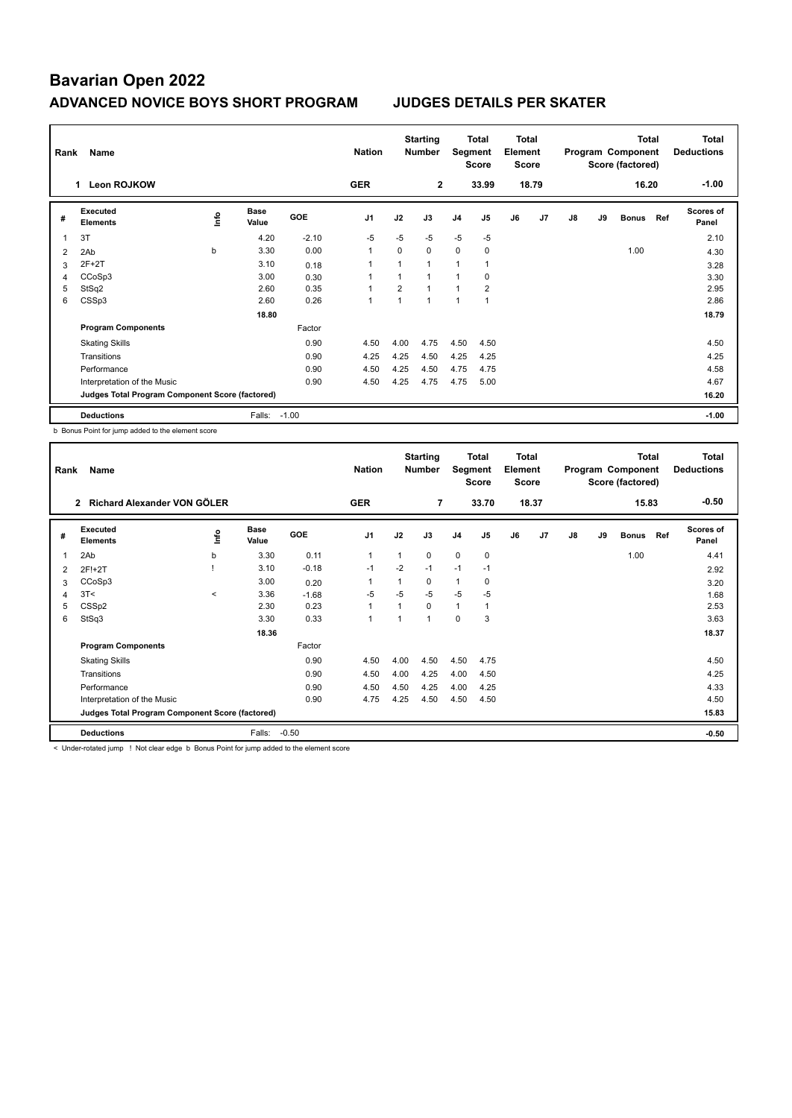| Rank                    | Name                                            | <b>Nation</b> |                      | <b>Starting</b><br><b>Total</b><br>Segment<br><b>Number</b><br><b>Score</b> |                |                |              | <b>Total</b><br>Element<br><b>Score</b> |                | Program Component<br>Score (factored) | <b>Total</b> | Total<br><b>Deductions</b> |    |              |     |                           |
|-------------------------|-------------------------------------------------|---------------|----------------------|-----------------------------------------------------------------------------|----------------|----------------|--------------|-----------------------------------------|----------------|---------------------------------------|--------------|----------------------------|----|--------------|-----|---------------------------|
|                         | <b>Leon ROJKOW</b><br>1                         |               |                      |                                                                             | <b>GER</b>     |                | $\mathbf{2}$ |                                         | 33.99          |                                       | 18.79        |                            |    | 16.20        |     | $-1.00$                   |
| #                       | Executed<br><b>Elements</b>                     | lnfo          | <b>Base</b><br>Value | <b>GOE</b>                                                                  | J <sub>1</sub> | J2             | J3           | J <sub>4</sub>                          | J <sub>5</sub> | J6                                    | J7           | J8                         | J9 | <b>Bonus</b> | Ref | <b>Scores of</b><br>Panel |
| $\overline{\mathbf{1}}$ | 3T                                              |               | 4.20                 | $-2.10$                                                                     | $-5$           | $-5$           | $-5$         | $-5$                                    | $-5$           |                                       |              |                            |    |              |     | 2.10                      |
| 2                       | 2Ab                                             | b             | 3.30                 | 0.00                                                                        | $\mathbf{1}$   | $\Omega$       | 0            | $\mathbf 0$                             | 0              |                                       |              |                            |    | 1.00         |     | 4.30                      |
| 3                       | $2F+2T$                                         |               | 3.10                 | 0.18                                                                        |                |                | 1            | 1                                       |                |                                       |              |                            |    |              |     | 3.28                      |
| 4                       | CCoSp3                                          |               | 3.00                 | 0.30                                                                        | 1              |                | 1            | $\overline{1}$                          | $\mathbf 0$    |                                       |              |                            |    |              |     | 3.30                      |
| 5                       | StSq2                                           |               | 2.60                 | 0.35                                                                        |                | $\overline{2}$ | $\mathbf{1}$ | $\overline{1}$                          | $\overline{2}$ |                                       |              |                            |    |              |     | 2.95                      |
| 6                       | CSSp3                                           |               | 2.60                 | 0.26                                                                        | 1              |                | $\mathbf 1$  | $\overline{1}$                          | 1              |                                       |              |                            |    |              |     | 2.86                      |
|                         |                                                 |               | 18.80                |                                                                             |                |                |              |                                         |                |                                       |              |                            |    |              |     | 18.79                     |
|                         | <b>Program Components</b>                       |               |                      | Factor                                                                      |                |                |              |                                         |                |                                       |              |                            |    |              |     |                           |
|                         | <b>Skating Skills</b>                           |               |                      | 0.90                                                                        | 4.50           | 4.00           | 4.75         | 4.50                                    | 4.50           |                                       |              |                            |    |              |     | 4.50                      |
|                         | Transitions                                     |               |                      | 0.90                                                                        | 4.25           | 4.25           | 4.50         | 4.25                                    | 4.25           |                                       |              |                            |    |              |     | 4.25                      |
|                         | Performance                                     |               |                      | 0.90                                                                        | 4.50           | 4.25           | 4.50         | 4.75                                    | 4.75           |                                       |              |                            |    |              |     | 4.58                      |
|                         | Interpretation of the Music                     |               |                      | 0.90                                                                        | 4.50           | 4.25           | 4.75         | 4.75                                    | 5.00           |                                       |              |                            |    |              |     | 4.67                      |
|                         | Judges Total Program Component Score (factored) |               |                      |                                                                             |                |                |              |                                         |                |                                       |              |                            |    |              |     | 16.20                     |
|                         | <b>Deductions</b>                               |               | Falls:               | $-1.00$                                                                     |                |                |              |                                         |                |                                       |              |                            |    |              |     | $-1.00$                   |

b Bonus Point for jump added to the element score

|                | Rank<br>Name                                    |         |                      |            |                |                | <b>Starting</b><br><b>Total</b><br><b>Number</b><br>Segment<br><b>Score</b> |                |                |    | <b>Total</b><br>Element<br><b>Score</b> |    | Program Component<br>Score (factored) | <b>Total</b> | <b>Total</b><br><b>Deductions</b> |                    |
|----------------|-------------------------------------------------|---------|----------------------|------------|----------------|----------------|-----------------------------------------------------------------------------|----------------|----------------|----|-----------------------------------------|----|---------------------------------------|--------------|-----------------------------------|--------------------|
|                | Richard Alexander VON GÖLER<br>$\overline{2}$   |         |                      |            | <b>GER</b>     |                | $\overline{7}$                                                              |                | 33.70          |    | 18.37                                   |    |                                       | 15.83        |                                   | $-0.50$            |
| #              | Executed<br><b>Elements</b>                     | lnfo    | <b>Base</b><br>Value | <b>GOE</b> | J <sub>1</sub> | J2             | J3                                                                          | J <sub>4</sub> | J <sub>5</sub> | J6 | J <sub>7</sub>                          | J8 | J9                                    | <b>Bonus</b> | Ref                               | Scores of<br>Panel |
| 1              | 2Ab                                             | b       | 3.30                 | 0.11       | $\mathbf{1}$   | 1              | $\Omega$                                                                    | $\Omega$       | $\mathbf 0$    |    |                                         |    |                                       | 1.00         |                                   | 4.41               |
| 2              | 2F!+2T                                          |         | 3.10                 | $-0.18$    | $-1$           | $-2$           | $-1$                                                                        | $-1$           | $-1$           |    |                                         |    |                                       |              |                                   | 2.92               |
| 3              | CCoSp3                                          |         | 3.00                 | 0.20       | -1             | 1              | $\Omega$                                                                    | $\mathbf{1}$   | 0              |    |                                         |    |                                       |              |                                   | 3.20               |
| $\overline{4}$ | 3T<                                             | $\prec$ | 3.36                 | $-1.68$    | $-5$           | $-5$           | $-5$                                                                        | $-5$           | $-5$           |    |                                         |    |                                       |              |                                   | 1.68               |
| 5              | CSS <sub>p2</sub>                               |         | 2.30                 | 0.23       | $\overline{1}$ | 1              | $\Omega$                                                                    | $\mathbf{1}$   | 1              |    |                                         |    |                                       |              |                                   | 2.53               |
| 6              | StSq3                                           |         | 3.30                 | 0.33       | $\mathbf{1}$   | $\overline{ }$ | 1                                                                           | $\mathbf 0$    | 3              |    |                                         |    |                                       |              |                                   | 3.63               |
|                |                                                 |         | 18.36                |            |                |                |                                                                             |                |                |    |                                         |    |                                       |              |                                   | 18.37              |
|                | <b>Program Components</b>                       |         |                      | Factor     |                |                |                                                                             |                |                |    |                                         |    |                                       |              |                                   |                    |
|                | <b>Skating Skills</b>                           |         |                      | 0.90       | 4.50           | 4.00           | 4.50                                                                        | 4.50           | 4.75           |    |                                         |    |                                       |              |                                   | 4.50               |
|                | Transitions                                     |         |                      | 0.90       | 4.50           | 4.00           | 4.25                                                                        | 4.00           | 4.50           |    |                                         |    |                                       |              |                                   | 4.25               |
|                | Performance                                     |         |                      | 0.90       | 4.50           | 4.50           | 4.25                                                                        | 4.00           | 4.25           |    |                                         |    |                                       |              |                                   | 4.33               |
|                | Interpretation of the Music                     |         |                      | 0.90       | 4.75           | 4.25           | 4.50                                                                        | 4.50           | 4.50           |    |                                         |    |                                       |              |                                   | 4.50               |
|                | Judges Total Program Component Score (factored) |         |                      |            |                |                |                                                                             |                |                |    |                                         |    |                                       |              |                                   | 15.83              |
|                | <b>Deductions</b>                               |         | Falls:               | $-0.50$    |                |                |                                                                             |                |                |    |                                         |    |                                       |              |                                   | $-0.50$            |

< Under-rotated jump ! Not clear edge b Bonus Point for jump added to the element score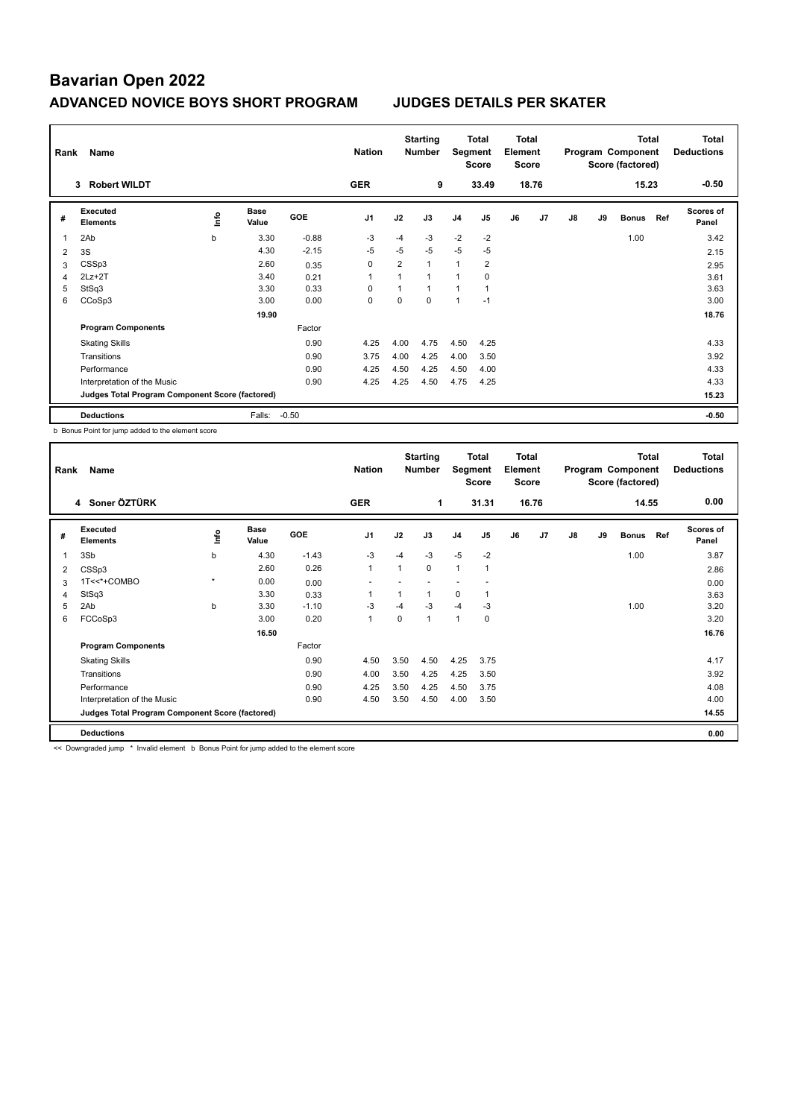| Name<br>Rank   |                                                 |      |                      |            |                |                | <b>Total</b><br><b>Starting</b><br>Total<br>Segment<br>Element<br><b>Number</b><br><b>Score</b><br>Score |                |                |    |                |    | Program Component<br>Score (factored) | <b>Total</b> | <b>Total</b><br><b>Deductions</b> |                           |
|----------------|-------------------------------------------------|------|----------------------|------------|----------------|----------------|----------------------------------------------------------------------------------------------------------|----------------|----------------|----|----------------|----|---------------------------------------|--------------|-----------------------------------|---------------------------|
|                | <b>Robert WILDT</b><br>3                        |      |                      |            | <b>GER</b>     |                | 9                                                                                                        |                | 33.49          |    | 18.76          |    |                                       | 15.23        |                                   | $-0.50$                   |
| #              | Executed<br><b>Elements</b>                     | lnfo | <b>Base</b><br>Value | <b>GOE</b> | J <sub>1</sub> | J2             | J3                                                                                                       | J <sub>4</sub> | J <sub>5</sub> | J6 | J <sub>7</sub> | J8 | J9                                    | <b>Bonus</b> | Ref                               | <b>Scores of</b><br>Panel |
| 1              | 2Ab                                             | b    | 3.30                 | $-0.88$    | -3             | $-4$           | $-3$                                                                                                     | $-2$           | $-2$           |    |                |    |                                       | 1.00         |                                   | 3.42                      |
| 2              | 3S                                              |      | 4.30                 | $-2.15$    | $-5$           | $-5$           | $-5$                                                                                                     | $-5$           | $-5$           |    |                |    |                                       |              |                                   | 2.15                      |
| 3              | CSSp3                                           |      | 2.60                 | 0.35       | $\mathbf 0$    | 2              | 1                                                                                                        | $\overline{1}$ | $\overline{2}$ |    |                |    |                                       |              |                                   | 2.95                      |
| $\overline{4}$ | $2Lz+2T$                                        |      | 3.40                 | 0.21       | $\overline{1}$ | $\overline{1}$ |                                                                                                          | 1              | 0              |    |                |    |                                       |              |                                   | 3.61                      |
| 5              | StSq3                                           |      | 3.30                 | 0.33       | 0              | 1              | 1                                                                                                        | 1              | 1              |    |                |    |                                       |              |                                   | 3.63                      |
| 6              | CCoSp3                                          |      | 3.00                 | 0.00       | 0              | $\Omega$       | $\Omega$                                                                                                 | 1              | $-1$           |    |                |    |                                       |              |                                   | 3.00                      |
|                |                                                 |      | 19.90                |            |                |                |                                                                                                          |                |                |    |                |    |                                       |              |                                   | 18.76                     |
|                | <b>Program Components</b>                       |      |                      | Factor     |                |                |                                                                                                          |                |                |    |                |    |                                       |              |                                   |                           |
|                | <b>Skating Skills</b>                           |      |                      | 0.90       | 4.25           | 4.00           | 4.75                                                                                                     | 4.50           | 4.25           |    |                |    |                                       |              |                                   | 4.33                      |
|                | Transitions                                     |      |                      | 0.90       | 3.75           | 4.00           | 4.25                                                                                                     | 4.00           | 3.50           |    |                |    |                                       |              |                                   | 3.92                      |
|                | Performance                                     |      |                      | 0.90       | 4.25           | 4.50           | 4.25                                                                                                     | 4.50           | 4.00           |    |                |    |                                       |              |                                   | 4.33                      |
|                | Interpretation of the Music                     |      |                      | 0.90       | 4.25           | 4.25           | 4.50                                                                                                     | 4.75           | 4.25           |    |                |    |                                       |              |                                   | 4.33                      |
|                | Judges Total Program Component Score (factored) |      |                      |            |                |                |                                                                                                          |                |                |    |                |    |                                       |              |                                   | 15.23                     |
|                | <b>Deductions</b>                               |      | Falls:               | $-0.50$    |                |                |                                                                                                          |                |                |    |                |    |                                       |              |                                   | $-0.50$                   |

b Bonus Point for jump added to the element score

| Rank | Name                                            |         |                      |            |                | <b>Starting</b><br><b>Nation</b><br><b>Number</b> |              |                |                | <b>Total</b><br><b>Total</b><br>Segment<br>Element<br><b>Score</b><br><b>Score</b> |                |    | Program Component<br>Score (factored) | <b>Total</b> | <b>Total</b><br><b>Deductions</b> |                           |
|------|-------------------------------------------------|---------|----------------------|------------|----------------|---------------------------------------------------|--------------|----------------|----------------|------------------------------------------------------------------------------------|----------------|----|---------------------------------------|--------------|-----------------------------------|---------------------------|
|      | 4 Soner ÖZTÜRK                                  |         |                      |            | <b>GER</b>     |                                                   | 1            |                | 31.31          |                                                                                    | 16.76          |    |                                       | 14.55        |                                   | 0.00                      |
| #    | Executed<br><b>Elements</b>                     | ١m      | <b>Base</b><br>Value | <b>GOE</b> | J <sub>1</sub> | J2                                                | J3           | J <sub>4</sub> | J <sub>5</sub> | J6                                                                                 | J <sub>7</sub> | J8 | J9                                    | <b>Bonus</b> | Ref                               | <b>Scores of</b><br>Panel |
| 1    | 3Sb                                             | b       | 4.30                 | $-1.43$    | -3             | $-4$                                              | $-3$         | $-5$           | $-2$           |                                                                                    |                |    |                                       | 1.00         |                                   | 3.87                      |
| 2    | CSSp3                                           |         | 2.60                 | 0.26       | $\mathbf{1}$   | 1                                                 | 0            | $\mathbf{1}$   | $\mathbf{1}$   |                                                                                    |                |    |                                       |              |                                   | 2.86                      |
| 3    | 1T<<*+COMBO                                     | $\star$ | 0.00                 | 0.00       |                |                                                   |              |                |                |                                                                                    |                |    |                                       |              |                                   | 0.00                      |
| 4    | StSq3                                           |         | 3.30                 | 0.33       | 1              |                                                   | 1            | 0              |                |                                                                                    |                |    |                                       |              |                                   | 3.63                      |
| 5    | 2Ab                                             | b       | 3.30                 | $-1.10$    | $-3$           | $-4$                                              | $-3$         | $-4$           | $-3$           |                                                                                    |                |    |                                       | 1.00         |                                   | 3.20                      |
| 6    | FCCoSp3                                         |         | 3.00                 | 0.20       | $\overline{1}$ | 0                                                 | $\mathbf{1}$ | 1              | $\mathbf 0$    |                                                                                    |                |    |                                       |              |                                   | 3.20                      |
|      |                                                 |         | 16.50                |            |                |                                                   |              |                |                |                                                                                    |                |    |                                       |              |                                   | 16.76                     |
|      | <b>Program Components</b>                       |         |                      | Factor     |                |                                                   |              |                |                |                                                                                    |                |    |                                       |              |                                   |                           |
|      | <b>Skating Skills</b>                           |         |                      | 0.90       | 4.50           | 3.50                                              | 4.50         | 4.25           | 3.75           |                                                                                    |                |    |                                       |              |                                   | 4.17                      |
|      | Transitions                                     |         |                      | 0.90       | 4.00           | 3.50                                              | 4.25         | 4.25           | 3.50           |                                                                                    |                |    |                                       |              |                                   | 3.92                      |
|      | Performance                                     |         |                      | 0.90       | 4.25           | 3.50                                              | 4.25         | 4.50           | 3.75           |                                                                                    |                |    |                                       |              |                                   | 4.08                      |
|      | Interpretation of the Music                     |         |                      | 0.90       | 4.50           | 3.50                                              | 4.50         | 4.00           | 3.50           |                                                                                    |                |    |                                       |              |                                   | 4.00                      |
|      | Judges Total Program Component Score (factored) |         |                      |            |                |                                                   |              |                |                |                                                                                    |                |    |                                       |              |                                   | 14.55                     |
|      | <b>Deductions</b>                               |         |                      |            |                |                                                   |              |                |                |                                                                                    |                |    |                                       |              |                                   | 0.00                      |

<< Downgraded jump \* Invalid element b Bonus Point for jump added to the element score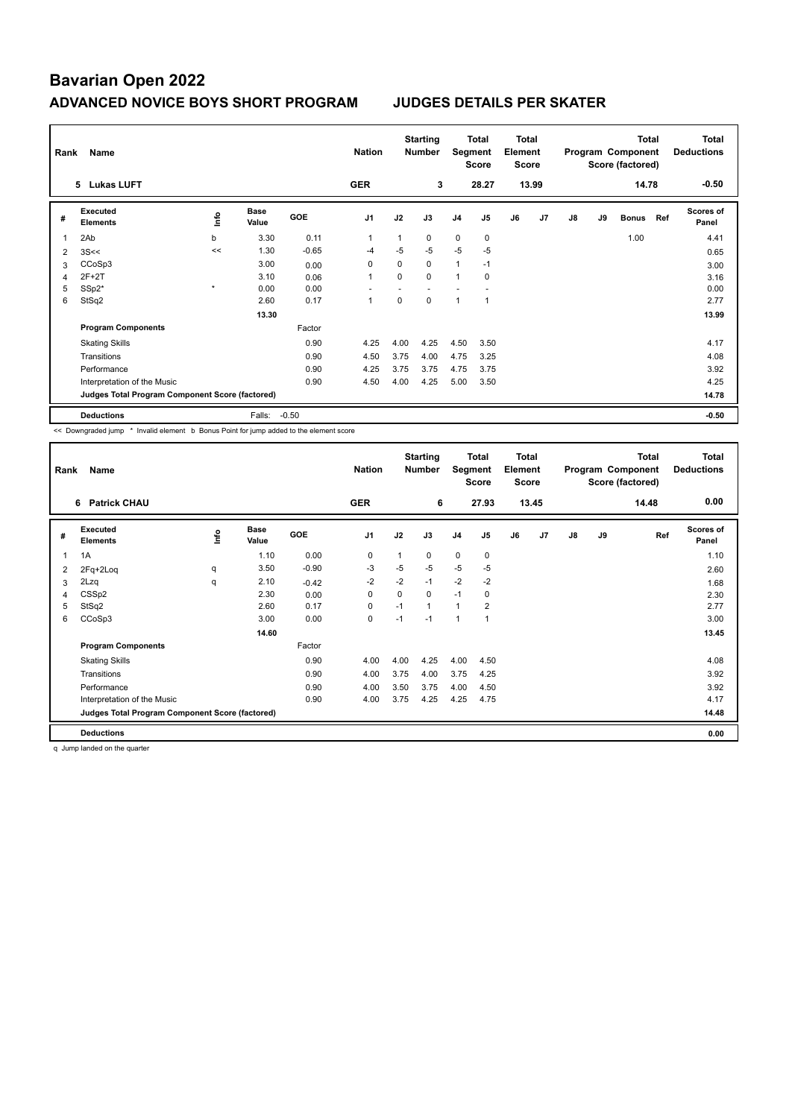| Rank           | Name                                            |         |                      |            | <b>Nation</b>  |             | <b>Starting</b><br><b>Number</b> | Segment        | Total<br>Score | <b>Total</b><br>Element<br><b>Score</b> |       |    |    | <b>Total</b><br>Program Component<br>Score (factored) |     | <b>Total</b><br><b>Deductions</b> |
|----------------|-------------------------------------------------|---------|----------------------|------------|----------------|-------------|----------------------------------|----------------|----------------|-----------------------------------------|-------|----|----|-------------------------------------------------------|-----|-----------------------------------|
|                | <b>Lukas LUFT</b><br>5.                         |         |                      |            | <b>GER</b>     |             | 3                                |                | 28.27          |                                         | 13.99 |    |    | 14.78                                                 |     | $-0.50$                           |
| #              | <b>Executed</b><br><b>Elements</b>              | ۴ů      | <b>Base</b><br>Value | <b>GOE</b> | J <sub>1</sub> | J2          | J3                               | J <sub>4</sub> | J <sub>5</sub> | J6                                      | J7    | J8 | J9 | <b>Bonus</b>                                          | Ref | Scores of<br>Panel                |
| 1              | 2Ab                                             | b       | 3.30                 | 0.11       | $\mathbf 1$    | 1           | 0                                | $\mathbf 0$    | $\mathbf 0$    |                                         |       |    |    | 1.00                                                  |     | 4.41                              |
| $\overline{2}$ | 3S<<                                            | <<      | 1.30                 | $-0.65$    | $-4$           | $-5$        | $-5$                             | $-5$           | $-5$           |                                         |       |    |    |                                                       |     | 0.65                              |
| 3              | CCoSp3                                          |         | 3.00                 | 0.00       | 0              | 0           | 0                                | 1              | $-1$           |                                         |       |    |    |                                                       |     | 3.00                              |
| 4              | $2F+2T$                                         |         | 3.10                 | 0.06       | $\mathbf{1}$   | 0           | $\Omega$                         | 1              | 0              |                                         |       |    |    |                                                       |     | 3.16                              |
| 5              | SSp2*                                           | $\star$ | 0.00                 | 0.00       |                |             |                                  |                |                |                                         |       |    |    |                                                       |     | 0.00                              |
| 6              | StSq2                                           |         | 2.60                 | 0.17       | $\overline{1}$ | $\mathbf 0$ | $\mathbf 0$                      | 1              | $\overline{1}$ |                                         |       |    |    |                                                       |     | 2.77                              |
|                |                                                 |         | 13.30                |            |                |             |                                  |                |                |                                         |       |    |    |                                                       |     | 13.99                             |
|                | <b>Program Components</b>                       |         |                      | Factor     |                |             |                                  |                |                |                                         |       |    |    |                                                       |     |                                   |
|                | <b>Skating Skills</b>                           |         |                      | 0.90       | 4.25           | 4.00        | 4.25                             | 4.50           | 3.50           |                                         |       |    |    |                                                       |     | 4.17                              |
|                | Transitions                                     |         |                      | 0.90       | 4.50           | 3.75        | 4.00                             | 4.75           | 3.25           |                                         |       |    |    |                                                       |     | 4.08                              |
|                | Performance                                     |         |                      | 0.90       | 4.25           | 3.75        | 3.75                             | 4.75           | 3.75           |                                         |       |    |    |                                                       |     | 3.92                              |
|                | Interpretation of the Music                     |         |                      | 0.90       | 4.50           | 4.00        | 4.25                             | 5.00           | 3.50           |                                         |       |    |    |                                                       |     | 4.25                              |
|                | Judges Total Program Component Score (factored) |         |                      |            |                |             |                                  |                |                |                                         |       |    |    |                                                       |     | 14.78                             |
|                | <b>Deductions</b>                               |         | Falls:               | $-0.50$    |                |             |                                  |                |                |                                         |       |    |    |                                                       |     | $-0.50$                           |

<< Downgraded jump \* Invalid element b Bonus Point for jump added to the element score

| Rank           | Name                                            |      |               |         | <b>Nation</b>  |      | <b>Starting</b><br><b>Number</b> | Segment        | <b>Total</b><br><b>Score</b> | <b>Total</b><br>Element<br><b>Score</b> |       |    |    | <b>Total</b><br>Program Component<br>Score (factored) | <b>Total</b><br><b>Deductions</b> |
|----------------|-------------------------------------------------|------|---------------|---------|----------------|------|----------------------------------|----------------|------------------------------|-----------------------------------------|-------|----|----|-------------------------------------------------------|-----------------------------------|
|                | <b>Patrick CHAU</b><br>6                        |      |               |         | <b>GER</b>     |      | 6                                |                | 27.93                        |                                         | 13.45 |    |    | 14.48                                                 | 0.00                              |
| #              | Executed<br><b>Elements</b>                     | lnfo | Base<br>Value | GOE     | J <sub>1</sub> | J2   | J3                               | J <sub>4</sub> | J <sub>5</sub>               | J6                                      | J7    | J8 | J9 | Ref                                                   | <b>Scores of</b><br>Panel         |
| 1              | 1A                                              |      | 1.10          | 0.00    | $\mathbf 0$    | 1    | 0                                | $\mathbf 0$    | $\mathbf 0$                  |                                         |       |    |    |                                                       | 1.10                              |
| 2              | 2Fq+2Loq                                        | q    | 3.50          | $-0.90$ | $-3$           | -5   | $-5$                             | $-5$           | -5                           |                                         |       |    |    |                                                       | 2.60                              |
| 3              | 2Lzq                                            | q    | 2.10          | $-0.42$ | $-2$           | $-2$ | $-1$                             | $-2$           | $-2$                         |                                         |       |    |    |                                                       | 1.68                              |
| $\overline{4}$ | CSS <sub>p2</sub>                               |      | 2.30          | 0.00    | 0              | 0    | 0                                | $-1$           | 0                            |                                         |       |    |    |                                                       | 2.30                              |
| 5              | StSq2                                           |      | 2.60          | 0.17    | $\Omega$       | $-1$ | 1                                | $\mathbf{1}$   | $\overline{2}$               |                                         |       |    |    |                                                       | 2.77                              |
| 6              | CCoSp3                                          |      | 3.00          | 0.00    | $\mathbf 0$    | $-1$ | $-1$                             | $\mathbf{1}$   | $\mathbf{1}$                 |                                         |       |    |    |                                                       | 3.00                              |
|                |                                                 |      | 14.60         |         |                |      |                                  |                |                              |                                         |       |    |    |                                                       | 13.45                             |
|                | <b>Program Components</b>                       |      |               | Factor  |                |      |                                  |                |                              |                                         |       |    |    |                                                       |                                   |
|                | <b>Skating Skills</b>                           |      |               | 0.90    | 4.00           | 4.00 | 4.25                             | 4.00           | 4.50                         |                                         |       |    |    |                                                       | 4.08                              |
|                | Transitions                                     |      |               | 0.90    | 4.00           | 3.75 | 4.00                             | 3.75           | 4.25                         |                                         |       |    |    |                                                       | 3.92                              |
|                | Performance                                     |      |               | 0.90    | 4.00           | 3.50 | 3.75                             | 4.00           | 4.50                         |                                         |       |    |    |                                                       | 3.92                              |
|                | Interpretation of the Music                     |      |               | 0.90    | 4.00           | 3.75 | 4.25                             | 4.25           | 4.75                         |                                         |       |    |    |                                                       | 4.17                              |
|                | Judges Total Program Component Score (factored) |      |               |         |                |      |                                  |                |                              |                                         |       |    |    |                                                       | 14.48                             |
|                | <b>Deductions</b>                               |      |               |         |                |      |                                  |                |                              |                                         |       |    |    |                                                       | 0.00                              |

q Jump landed on the quarter